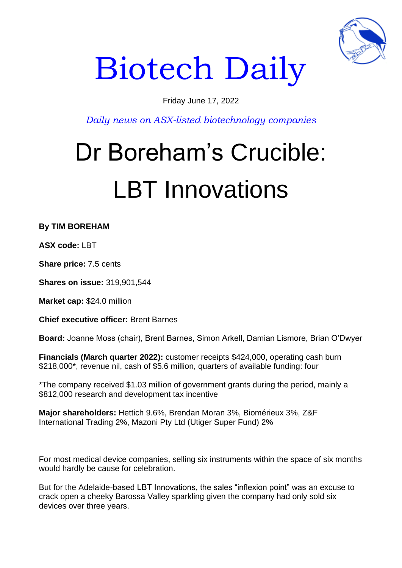

# Biotech Daily

### Friday June 17, 2022

*Daily news on ASX-listed biotechnology companies*

## Dr Boreham's Crucible: LBT Innovations

**By TIM BOREHAM** 

**ASX code:** LBT

**Share price:** 7.5 cents

**Shares on issue:** 319,901,544

**Market cap:** \$24.0 million

**Chief executive officer:** Brent Barnes

**Board:** Joanne Moss (chair), Brent Barnes, Simon Arkell, Damian Lismore, Brian O'Dwyer

**Financials (March quarter 2022):** customer receipts \$424,000, operating cash burn \$218,000\*, revenue nil, cash of \$5.6 million, quarters of available funding: four

\*The company received \$1.03 million of government grants during the period, mainly a \$812,000 research and development tax incentive

**Major shareholders:** Hettich 9.6%, Brendan Moran 3%, Biomérieux 3%, Z&F International Trading 2%, Mazoni Pty Ltd (Utiger Super Fund) 2%

For most medical device companies, selling six instruments within the space of six months would hardly be cause for celebration.

But for the Adelaide-based LBT Innovations, the sales "inflexion point" was an excuse to crack open a cheeky Barossa Valley sparkling given the company had only sold six devices over three years.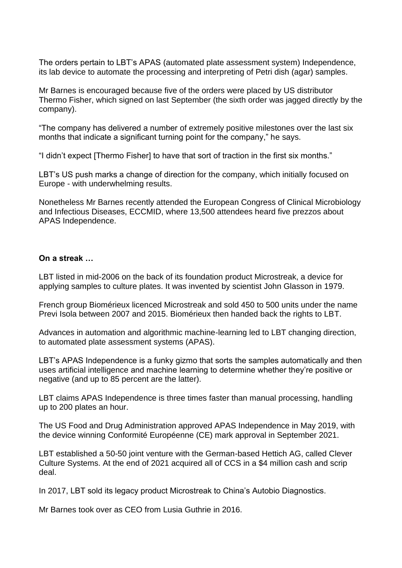The orders pertain to LBT's APAS (automated plate assessment system) Independence, its lab device to automate the processing and interpreting of Petri dish (agar) samples.

Mr Barnes is encouraged because five of the orders were placed by US distributor Thermo Fisher, which signed on last September (the sixth order was jagged directly by the company).

"The company has delivered a number of extremely positive milestones over the last six months that indicate a significant turning point for the company," he says.

"I didn't expect [Thermo Fisher] to have that sort of traction in the first six months."

LBT's US push marks a change of direction for the company, which initially focused on Europe - with underwhelming results.

Nonetheless Mr Barnes recently attended the European Congress of Clinical Microbiology and Infectious Diseases, ECCMID, where 13,500 attendees heard five prezzos about APAS Independence.

#### **On a streak …**

LBT listed in mid-2006 on the back of its foundation product Microstreak, a device for applying samples to culture plates. It was invented by scientist John Glasson in 1979.

French group Biomérieux licenced Microstreak and sold 450 to 500 units under the name Previ Isola between 2007 and 2015. Biomérieux then handed back the rights to LBT.

Advances in automation and algorithmic machine-learning led to LBT changing direction, to automated plate assessment systems (APAS).

LBT's APAS Independence is a funky gizmo that sorts the samples automatically and then uses artificial intelligence and machine learning to determine whether they're positive or negative (and up to 85 percent are the latter).

LBT claims APAS Independence is three times faster than manual processing, handling up to 200 plates an hour.

The US Food and Drug Administration approved APAS Independence in May 2019, with the device winning Conformité Européenne (CE) mark approval in September 2021.

LBT established a 50-50 joint venture with the German-based Hettich AG, called Clever Culture Systems. At the end of 2021 acquired all of CCS in a \$4 million cash and scrip deal.

In 2017, LBT sold its legacy product Microstreak to China's Autobio Diagnostics.

Mr Barnes took over as CEO from Lusia Guthrie in 2016.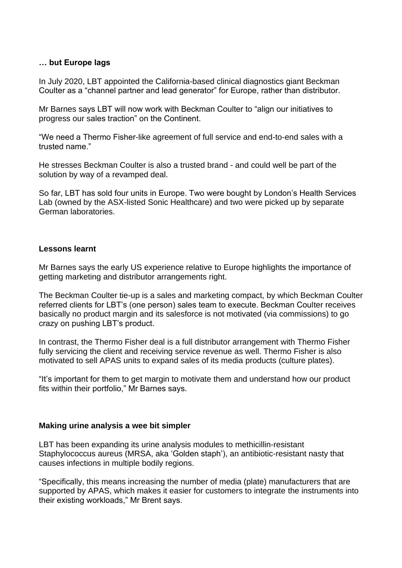#### **… but Europe lags**

In July 2020, LBT appointed the California-based clinical diagnostics giant Beckman Coulter as a "channel partner and lead generator" for Europe, rather than distributor.

Mr Barnes says LBT will now work with Beckman Coulter to "align our initiatives to progress our sales traction" on the Continent.

"We need a Thermo Fisher-like agreement of full service and end-to-end sales with a trusted name."

He stresses Beckman Coulter is also a trusted brand - and could well be part of the solution by way of a revamped deal.

So far, LBT has sold four units in Europe. Two were bought by London's Health Services Lab (owned by the ASX-listed Sonic Healthcare) and two were picked up by separate German laboratories.

#### **Lessons learnt**

Mr Barnes says the early US experience relative to Europe highlights the importance of getting marketing and distributor arrangements right.

The Beckman Coulter tie-up is a sales and marketing compact, by which Beckman Coulter referred clients for LBT's (one person) sales team to execute. Beckman Coulter receives basically no product margin and its salesforce is not motivated (via commissions) to go crazy on pushing LBT's product.

In contrast, the Thermo Fisher deal is a full distributor arrangement with Thermo Fisher fully servicing the client and receiving service revenue as well. Thermo Fisher is also motivated to sell APAS units to expand sales of its media products (culture plates).

"It's important for them to get margin to motivate them and understand how our product fits within their portfolio," Mr Barnes says.

#### **Making urine analysis a wee bit simpler**

LBT has been expanding its urine analysis modules to methicillin-resistant Staphylococcus aureus (MRSA, aka 'Golden staph'), an antibiotic-resistant nasty that causes infections in multiple bodily regions.

"Specifically, this means increasing the number of media (plate) manufacturers that are supported by APAS, which makes it easier for customers to integrate the instruments into their existing workloads," Mr Brent says.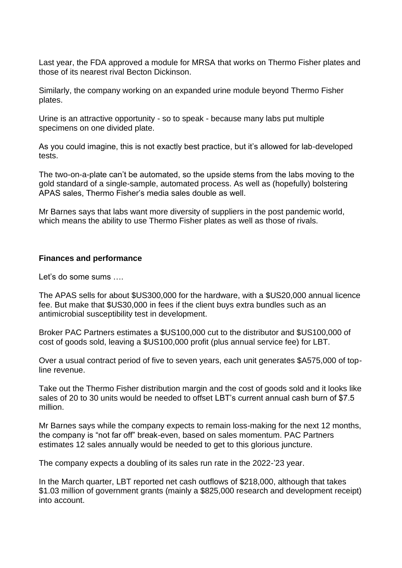Last year, the FDA approved a module for MRSA that works on Thermo Fisher plates and those of its nearest rival Becton Dickinson.

Similarly, the company working on an expanded urine module beyond Thermo Fisher plates.

Urine is an attractive opportunity - so to speak - because many labs put multiple specimens on one divided plate.

As you could imagine, this is not exactly best practice, but it's allowed for lab-developed tests.

The two-on-a-plate can't be automated, so the upside stems from the labs moving to the gold standard of a single-sample, automated process. As well as (hopefully) bolstering APAS sales, Thermo Fisher's media sales double as well.

Mr Barnes says that labs want more diversity of suppliers in the post pandemic world, which means the ability to use Thermo Fisher plates as well as those of rivals.

#### **Finances and performance**

Let's do some sums ….

The APAS sells for about \$US300,000 for the hardware, with a \$US20,000 annual licence fee. But make that \$US30,000 in fees if the client buys extra bundles such as an antimicrobial susceptibility test in development.

Broker PAC Partners estimates a \$US100,000 cut to the distributor and \$US100,000 of cost of goods sold, leaving a \$US100,000 profit (plus annual service fee) for LBT.

Over a usual contract period of five to seven years, each unit generates \$A575,000 of topline revenue.

Take out the Thermo Fisher distribution margin and the cost of goods sold and it looks like sales of 20 to 30 units would be needed to offset LBT's current annual cash burn of \$7.5 million.

Mr Barnes says while the company expects to remain loss-making for the next 12 months, the company is "not far off" break-even, based on sales momentum. PAC Partners estimates 12 sales annually would be needed to get to this glorious juncture.

The company expects a doubling of its sales run rate in the 2022-'23 year.

In the March quarter, LBT reported net cash outflows of \$218,000, although that takes \$1.03 million of government grants (mainly a \$825,000 research and development receipt) into account.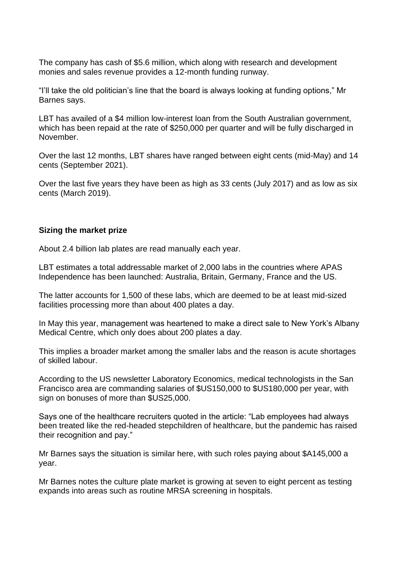The company has cash of \$5.6 million, which along with research and development monies and sales revenue provides a 12-month funding runway.

"I'll take the old politician's line that the board is always looking at funding options," Mr Barnes says.

LBT has availed of a \$4 million low-interest loan from the South Australian government, which has been repaid at the rate of \$250,000 per quarter and will be fully discharged in November.

Over the last 12 months, LBT shares have ranged between eight cents (mid-May) and 14 cents (September 2021).

Over the last five years they have been as high as 33 cents (July 2017) and as low as six cents (March 2019).

#### **Sizing the market prize**

About 2.4 billion lab plates are read manually each year.

LBT estimates a total addressable market of 2,000 labs in the countries where APAS Independence has been launched: Australia, Britain, Germany, France and the US.

The latter accounts for 1,500 of these labs, which are deemed to be at least mid-sized facilities processing more than about 400 plates a day.

In May this year, management was heartened to make a direct sale to New York's Albany Medical Centre, which only does about 200 plates a day.

This implies a broader market among the smaller labs and the reason is acute shortages of skilled labour.

According to the US newsletter Laboratory Economics, medical technologists in the San Francisco area are commanding salaries of \$US150,000 to \$US180,000 per year, with sign on bonuses of more than \$US25,000.

Says one of the healthcare recruiters quoted in the article: "Lab employees had always been treated like the red-headed stepchildren of healthcare, but the pandemic has raised their recognition and pay."

Mr Barnes says the situation is similar here, with such roles paying about \$A145,000 a year.

Mr Barnes notes the culture plate market is growing at seven to eight percent as testing expands into areas such as routine MRSA screening in hospitals.